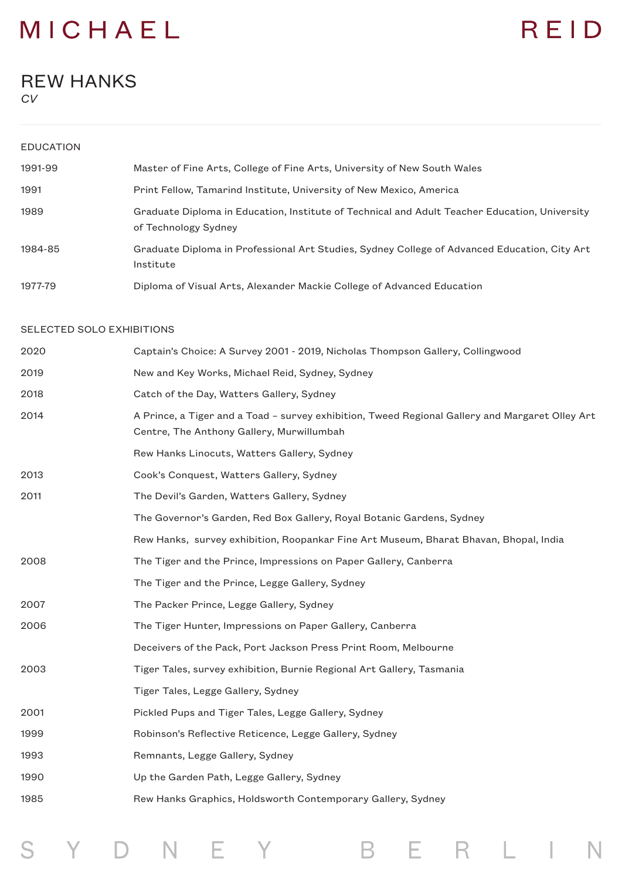## REID

### REW HANKS

*CV*

| <b>EDUCATION</b>          |                                                                                                                                              |
|---------------------------|----------------------------------------------------------------------------------------------------------------------------------------------|
| 1991-99                   | Master of Fine Arts, College of Fine Arts, University of New South Wales                                                                     |
| 1991                      | Print Fellow, Tamarind Institute, University of New Mexico, America                                                                          |
| 1989                      | Graduate Diploma in Education, Institute of Technical and Adult Teacher Education, University<br>of Technology Sydney                        |
| 1984-85                   | Graduate Diploma in Professional Art Studies, Sydney College of Advanced Education, City Art<br>Institute                                    |
| 1977-79                   | Diploma of Visual Arts, Alexander Mackie College of Advanced Education                                                                       |
| SELECTED SOLO EXHIBITIONS |                                                                                                                                              |
| 2020                      | Captain's Choice: A Survey 2001 - 2019, Nicholas Thompson Gallery, Collingwood                                                               |
| 2019                      | New and Key Works, Michael Reid, Sydney, Sydney                                                                                              |
| 2018                      | Catch of the Day, Watters Gallery, Sydney                                                                                                    |
| 2014                      | A Prince, a Tiger and a Toad - survey exhibition, Tweed Regional Gallery and Margaret Olley Art<br>Centre, The Anthony Gallery, Murwillumbah |
|                           | Rew Hanks Linocuts, Watters Gallery, Sydney                                                                                                  |
| 2013                      | Cook's Conquest, Watters Gallery, Sydney                                                                                                     |
| 2011                      | The Devil's Garden, Watters Gallery, Sydney                                                                                                  |
|                           | The Governor's Garden, Red Box Gallery, Royal Botanic Gardens, Sydney                                                                        |
|                           | Rew Hanks, survey exhibition, Roopankar Fine Art Museum, Bharat Bhavan, Bhopal, India                                                        |
| 2008                      | The Tiger and the Prince, Impressions on Paper Gallery, Canberra                                                                             |
|                           | The Tiger and the Prince, Legge Gallery, Sydney                                                                                              |
| 2007                      | The Packer Prince, Legge Gallery, Sydney                                                                                                     |
| 2006                      | The Tiger Hunter, Impressions on Paper Gallery, Canberra                                                                                     |
|                           | Deceivers of the Pack, Port Jackson Press Print Room, Melbourne                                                                              |
| 2003                      | Tiger Tales, survey exhibition, Burnie Regional Art Gallery, Tasmania                                                                        |
|                           | Tiger Tales, Legge Gallery, Sydney                                                                                                           |
| 2001                      | Pickled Pups and Tiger Tales, Legge Gallery, Sydney                                                                                          |
| 1999                      | Robinson's Reflective Reticence, Legge Gallery, Sydney                                                                                       |
| 1993                      | Remnants, Legge Gallery, Sydney                                                                                                              |
| 1990                      | Up the Garden Path, Legge Gallery, Sydney                                                                                                    |
| 1985                      | Rew Hanks Graphics, Holdsworth Contemporary Gallery, Sydney                                                                                  |
|                           |                                                                                                                                              |

S Y D N E Y B E R L I N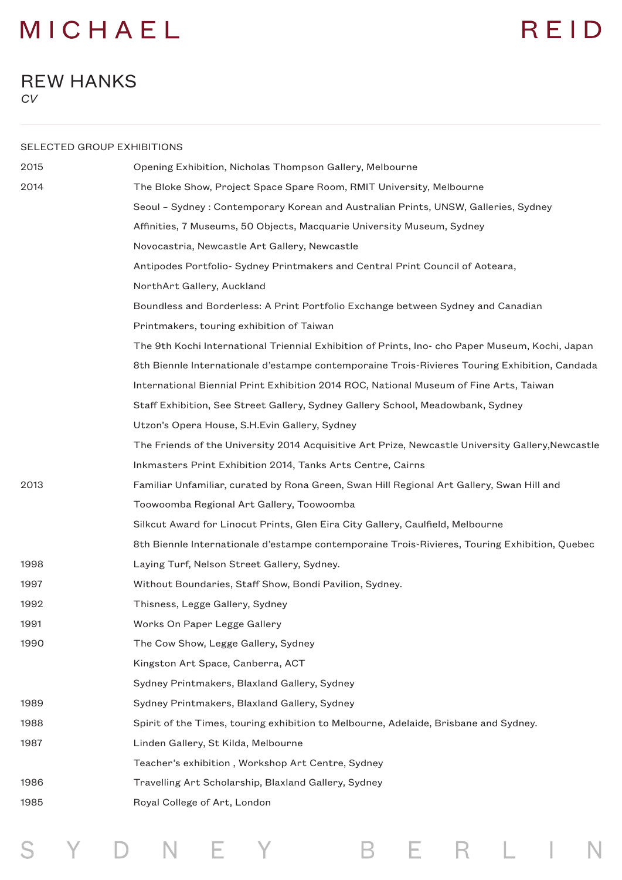## REID

### REW HANKS *CV*

| SELECTED GROUP EXHIBITIONS |                                                                                                   |
|----------------------------|---------------------------------------------------------------------------------------------------|
| 2015                       | Opening Exhibition, Nicholas Thompson Gallery, Melbourne                                          |
| 2014                       | The Bloke Show, Project Space Spare Room, RMIT University, Melbourne                              |
|                            | Seoul - Sydney : Contemporary Korean and Australian Prints, UNSW, Galleries, Sydney               |
|                            | Affinities, 7 Museums, 50 Objects, Macquarie University Museum, Sydney                            |
|                            | Novocastria, Newcastle Art Gallery, Newcastle                                                     |
|                            | Antipodes Portfolio- Sydney Printmakers and Central Print Council of Aoteara,                     |
|                            | NorthArt Gallery, Auckland                                                                        |
|                            | Boundless and Borderless: A Print Portfolio Exchange between Sydney and Canadian                  |
|                            | Printmakers, touring exhibition of Taiwan                                                         |
|                            | The 9th Kochi International Triennial Exhibition of Prints, Ino-cho Paper Museum, Kochi, Japan    |
|                            | 8th Biennle Internationale d'estampe contemporaine Trois-Rivieres Touring Exhibition, Candada     |
|                            | International Biennial Print Exhibition 2014 ROC, National Museum of Fine Arts, Taiwan            |
|                            | Staff Exhibition, See Street Gallery, Sydney Gallery School, Meadowbank, Sydney                   |
|                            | Utzon's Opera House, S.H.Evin Gallery, Sydney                                                     |
|                            | The Friends of the University 2014 Acquisitive Art Prize, Newcastle University Gallery, Newcastle |
|                            | Inkmasters Print Exhibition 2014, Tanks Arts Centre, Cairns                                       |
| 2013                       | Familiar Unfamiliar, curated by Rona Green, Swan Hill Regional Art Gallery, Swan Hill and         |
|                            | Toowoomba Regional Art Gallery, Toowoomba                                                         |
|                            | Silkcut Award for Linocut Prints, Glen Eira City Gallery, Caulfield, Melbourne                    |
|                            | 8th Biennle Internationale d'estampe contemporaine Trois-Rivieres, Touring Exhibition, Quebec     |
| 1998                       | Laying Turf, Nelson Street Gallery, Sydney.                                                       |
| 1997                       | Without Boundaries, Staff Show, Bondi Pavilion, Sydney.                                           |
| 1992                       | Thisness, Legge Gallery, Sydney                                                                   |
| 1991                       | Works On Paper Legge Gallery                                                                      |
| 1990                       | The Cow Show, Legge Gallery, Sydney                                                               |
|                            | Kingston Art Space, Canberra, ACT                                                                 |
|                            | Sydney Printmakers, Blaxland Gallery, Sydney                                                      |
| 1989                       | Sydney Printmakers, Blaxland Gallery, Sydney                                                      |
| 1988                       | Spirit of the Times, touring exhibition to Melbourne, Adelaide, Brisbane and Sydney.              |
| 1987                       | Linden Gallery, St Kilda, Melbourne                                                               |
|                            | Teacher's exhibition, Workshop Art Centre, Sydney                                                 |
| 1986                       | Travelling Art Scholarship, Blaxland Gallery, Sydney                                              |
| 1985                       | Royal College of Art, London                                                                      |

S Y D N E Y B E R L I N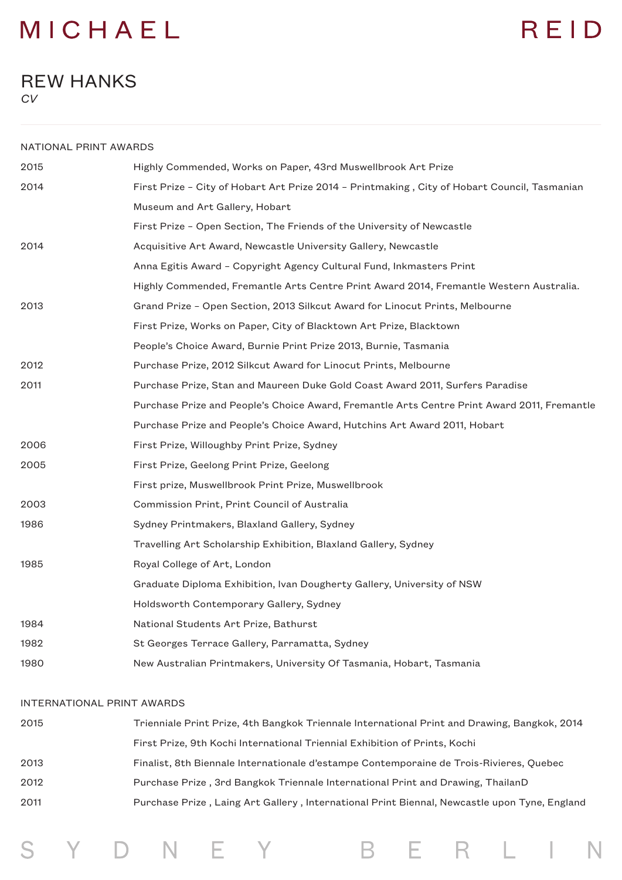# REID

### REW HANKS *CV*

| NATIONAL PRINT AWARDS |                                                                                              |
|-----------------------|----------------------------------------------------------------------------------------------|
| 2015                  | Highly Commended, Works on Paper, 43rd Muswellbrook Art Prize                                |
| 2014                  | First Prize - City of Hobart Art Prize 2014 - Printmaking, City of Hobart Council, Tasmanian |
|                       | Museum and Art Gallery, Hobart                                                               |
|                       | First Prize - Open Section, The Friends of the University of Newcastle                       |
| 2014                  | Acquisitive Art Award, Newcastle University Gallery, Newcastle                               |
|                       | Anna Egitis Award - Copyright Agency Cultural Fund, Inkmasters Print                         |
|                       | Highly Commended, Fremantle Arts Centre Print Award 2014, Fremantle Western Australia.       |
| 2013                  | Grand Prize - Open Section, 2013 Silkcut Award for Linocut Prints, Melbourne                 |
|                       | First Prize, Works on Paper, City of Blacktown Art Prize, Blacktown                          |
|                       | People's Choice Award, Burnie Print Prize 2013, Burnie, Tasmania                             |
| 2012                  | Purchase Prize, 2012 Silkcut Award for Linocut Prints, Melbourne                             |
| 2011                  | Purchase Prize, Stan and Maureen Duke Gold Coast Award 2011, Surfers Paradise                |
|                       | Purchase Prize and People's Choice Award, Fremantle Arts Centre Print Award 2011, Fremantle  |
|                       | Purchase Prize and People's Choice Award, Hutchins Art Award 2011, Hobart                    |
| 2006                  | First Prize, Willoughby Print Prize, Sydney                                                  |
| 2005                  | First Prize, Geelong Print Prize, Geelong                                                    |
|                       | First prize, Muswellbrook Print Prize, Muswellbrook                                          |
| 2003                  | Commission Print, Print Council of Australia                                                 |
| 1986                  | Sydney Printmakers, Blaxland Gallery, Sydney                                                 |
|                       | Travelling Art Scholarship Exhibition, Blaxland Gallery, Sydney                              |
| 1985                  | Royal College of Art, London                                                                 |
|                       | Graduate Diploma Exhibition, Ivan Dougherty Gallery, University of NSW                       |
|                       | Holdsworth Contemporary Gallery, Sydney                                                      |
| 1984                  | National Students Art Prize, Bathurst                                                        |
| 1982                  | St Georges Terrace Gallery, Parramatta, Sydney                                               |
| 1980                  | New Australian Printmakers, University Of Tasmania, Hobart, Tasmania                         |
|                       |                                                                                              |

#### INTERNATIONAL PRINT AWARDS

S Y D N E Y

| 2015 | Trienniale Print Prize, 4th Bangkok Triennale International Print and Drawing, Bangkok, 2014 |
|------|----------------------------------------------------------------------------------------------|
|      | First Prize, 9th Kochi International Triennial Exhibition of Prints, Kochi                   |
| 2013 | Finalist, 8th Biennale Internationale d'estampe Contemporaine de Trois-Rivieres, Quebec      |
| 2012 | Purchase Prize, 3rd Bangkok Triennale International Print and Drawing, ThailanD              |
| 2011 | Purchase Prize, Laing Art Gallery, International Print Biennal, Newcastle upon Tyne, England |
|      |                                                                                              |

B E R L I N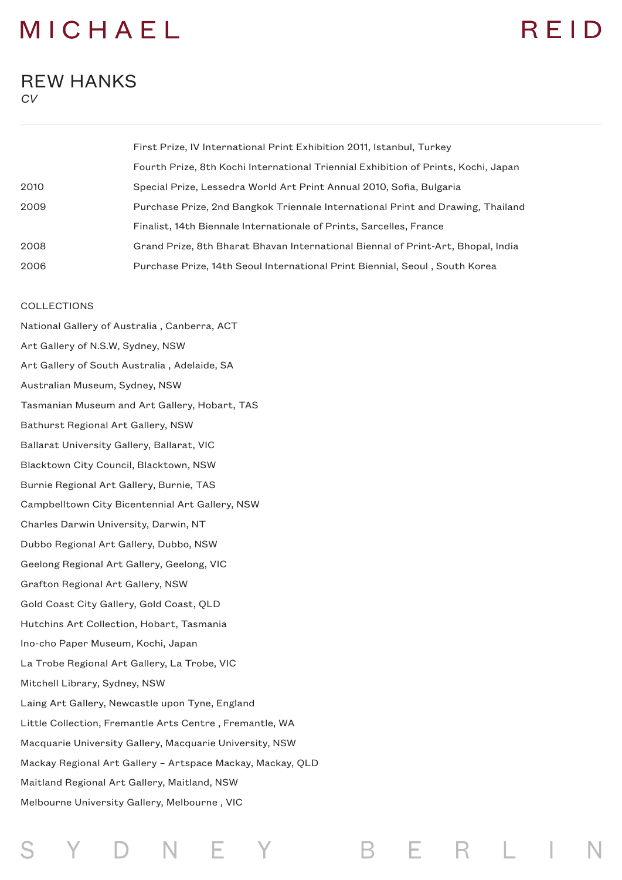### RFID

#### REW HANKS *CV*

|      | First Prize, IV International Print Exhibition 2011, Istanbul, Turkey              |
|------|------------------------------------------------------------------------------------|
|      | Fourth Prize, 8th Kochi International Triennial Exhibition of Prints, Kochi, Japan |
| 2010 | Special Prize, Lessedra World Art Print Annual 2010, Sofia, Bulgaria               |
| 2009 | Purchase Prize, 2nd Bangkok Triennale International Print and Drawing, Thailand    |
|      | Finalist, 14th Biennale Internationale of Prints, Sarcelles, France                |
| 2008 | Grand Prize, 8th Bharat Bhavan International Biennal of Print-Art, Bhopal, India   |
| 2006 | Purchase Prize, 14th Seoul International Print Biennial, Seoul, South Korea        |

F

R

#### COLLECTIONS

National Gallery of Australia , Canberra, ACT Art Gallery of N.S.W, Sydney, NSW Art Gallery of South Australia , Adelaide, SA Australian Museum, Sydney, NSW Tasmanian Museum and Art Gallery, Hobart, TAS Bathurst Regional Art Gallery, NSW Ballarat University Gallery, Ballarat, VIC Blacktown City Council, Blacktown, NSW Burnie Regional Art Gallery, Burnie, TAS Campbelltown City Bicentennial Art Gallery, NSW Charles Darwin University, Darwin, NT Dubbo Regional Art Gallery, Dubbo, NSW Geelong Regional Art Gallery, Geelong, VIC Grafton Regional Art Gallery, NSW Gold Coast City Gallery, Gold Coast, QLD Hutchins Art Collection, Hobart, Tasmania Ino-cho Paper Museum, Kochi, Japan La Trobe Regional Art Gallery, La Trobe, VIC Mitchell Library, Sydney, NSW Laing Art Gallery, Newcastle upon Tyne, England Little Collection, Fremantle Arts Centre , Fremantle, WA Macquarie University Gallery, Macquarie University, NSW Mackay Regional Art Gallery – Artspace Mackay, Mackay, QLD Maitland Regional Art Gallery, Maitland, NSW Melbourne University Gallery, Melbourne , VIC